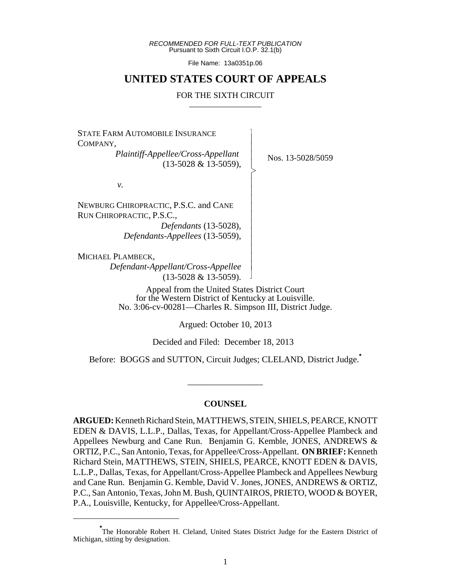*RECOMMENDED FOR FULL-TEXT PUBLICATION* Pursuant to Sixth Circuit I.O.P. 32.1(b)

File Name: 13a0351p.06

## **UNITED STATES COURT OF APPEALS**

#### FOR THE SIXTH CIRCUIT

 $\overline{\phantom{a}}$ - - - > , - - - - - - - - - -

STATE FARM AUTOMOBILE INSURANCE COMPANY,

*Plaintiff-Appellee/Cross-Appellant* (13-5028 & 13-5059),

Nos. 13-5028/5059

*v.*

NEWBURG CHIROPRACTIC, P.S.C. and CANE RUN CHIROPRACTIC, P.S.C., *Defendants* (13-5028),

*Defendants-Appellees* (13-5059),

MICHAEL PLAMBECK,

*Defendant-Appellant/Cross-Appellee* (13-5028 & 13-5059). - N

Appeal from the United States District Court for the Western District of Kentucky at Louisville. No. 3:06-cv-00281—Charles R. Simpson III, District Judge.

Argued: October 10, 2013

Decided and Filed: December 18, 2013

Before: BOGGS and SUTTON, Circuit Judges; CLELAND, District Judge.**\***

\_\_\_\_\_\_\_\_\_\_\_\_\_\_\_\_\_

#### **COUNSEL**

**ARGUED:** Kenneth Richard Stein, MATTHEWS, STEIN, SHIELS, PEARCE, KNOTT EDEN & DAVIS, L.L.P., Dallas, Texas, for Appellant/Cross-Appellee Plambeck and Appellees Newburg and Cane Run. Benjamin G. Kemble, JONES, ANDREWS & ORTIZ, P.C., San Antonio, Texas, for Appellee/Cross-Appellant. **ON BRIEF:** Kenneth Richard Stein, MATTHEWS, STEIN, SHIELS, PEARCE, KNOTT EDEN & DAVIS, L.L.P., Dallas, Texas, for Appellant/Cross-Appellee Plambeck and Appellees Newburg and Cane Run. Benjamin G. Kemble, David V. Jones, JONES, ANDREWS & ORTIZ, P.C., San Antonio, Texas, John M. Bush, QUINTAIROS, PRIETO, WOOD & BOYER, P.A., Louisville, Kentucky, for Appellee/Cross-Appellant.

**<sup>\*</sup>** The Honorable Robert H. Cleland, United States District Judge for the Eastern District of Michigan, sitting by designation.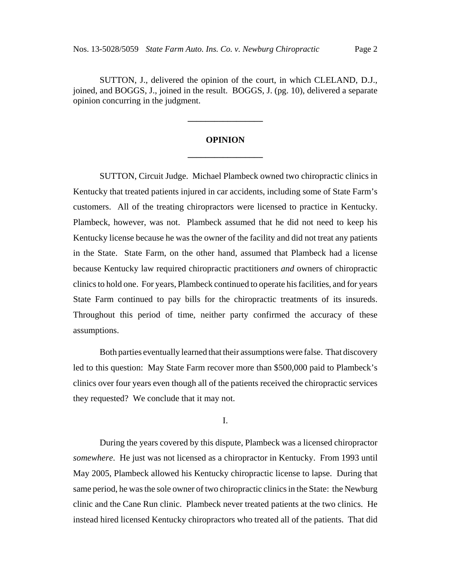SUTTON, J., delivered the opinion of the court, in which CLELAND, D.J., joined, and BOGGS, J., joined in the result. BOGGS, J. (pg. 10), delivered a separate opinion concurring in the judgment.

# **OPINION \_\_\_\_\_\_\_\_\_\_\_\_\_\_\_\_\_**

**\_\_\_\_\_\_\_\_\_\_\_\_\_\_\_\_\_**

SUTTON, Circuit Judge. Michael Plambeck owned two chiropractic clinics in Kentucky that treated patients injured in car accidents, including some of State Farm's customers. All of the treating chiropractors were licensed to practice in Kentucky. Plambeck, however, was not. Plambeck assumed that he did not need to keep his Kentucky license because he was the owner of the facility and did not treat any patients in the State. State Farm, on the other hand, assumed that Plambeck had a license because Kentucky law required chiropractic practitioners *and* owners of chiropractic clinics to hold one. For years, Plambeck continued to operate his facilities, and for years State Farm continued to pay bills for the chiropractic treatments of its insureds. Throughout this period of time, neither party confirmed the accuracy of these assumptions.

Both parties eventually learned that their assumptions were false. That discovery led to this question: May State Farm recover more than \$500,000 paid to Plambeck's clinics over four years even though all of the patients received the chiropractic services they requested? We conclude that it may not.

I.

During the years covered by this dispute, Plambeck was a licensed chiropractor *somewhere*. He just was not licensed as a chiropractor in Kentucky. From 1993 until May 2005, Plambeck allowed his Kentucky chiropractic license to lapse. During that same period, he was the sole owner of two chiropractic clinics in the State: the Newburg clinic and the Cane Run clinic. Plambeck never treated patients at the two clinics. He instead hired licensed Kentucky chiropractors who treated all of the patients. That did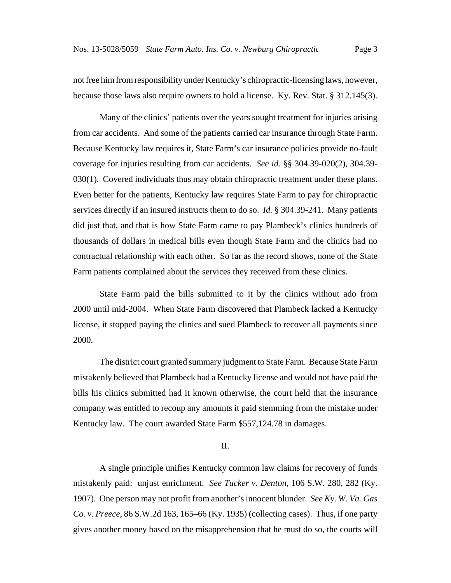not free him from responsibility under Kentucky's chiropractic-licensing laws, however, because those laws also require owners to hold a license. Ky. Rev. Stat. § 312.145(3).

Many of the clinics' patients over the years sought treatment for injuries arising from car accidents. And some of the patients carried car insurance through State Farm. Because Kentucky law requires it, State Farm's car insurance policies provide no-fault coverage for injuries resulting from car accidents. *See id.* §§ 304.39-020(2), 304.39- 030(1). Covered individuals thus may obtain chiropractic treatment under these plans. Even better for the patients, Kentucky law requires State Farm to pay for chiropractic services directly if an insured instructs them to do so. *Id.* § 304.39-241. Many patients did just that, and that is how State Farm came to pay Plambeck's clinics hundreds of thousands of dollars in medical bills even though State Farm and the clinics had no contractual relationship with each other. So far as the record shows, none of the State Farm patients complained about the services they received from these clinics.

State Farm paid the bills submitted to it by the clinics without ado from 2000 until mid-2004. When State Farm discovered that Plambeck lacked a Kentucky license, it stopped paying the clinics and sued Plambeck to recover all payments since 2000.

The district court granted summary judgment to State Farm. Because State Farm mistakenly believed that Plambeck had a Kentucky license and would not have paid the bills his clinics submitted had it known otherwise, the court held that the insurance company was entitled to recoup any amounts it paid stemming from the mistake under Kentucky law. The court awarded State Farm \$557,124.78 in damages.

### II.

A single principle unifies Kentucky common law claims for recovery of funds mistakenly paid: unjust enrichment. *See Tucker v. Denton*, 106 S.W. 280, 282 (Ky. 1907). One person may not profit from another's innocent blunder. *See Ky. W. Va. Gas Co. v. Preece*, 86 S.W.2d 163, 165–66 (Ky. 1935) (collecting cases). Thus, if one party gives another money based on the misapprehension that he must do so, the courts will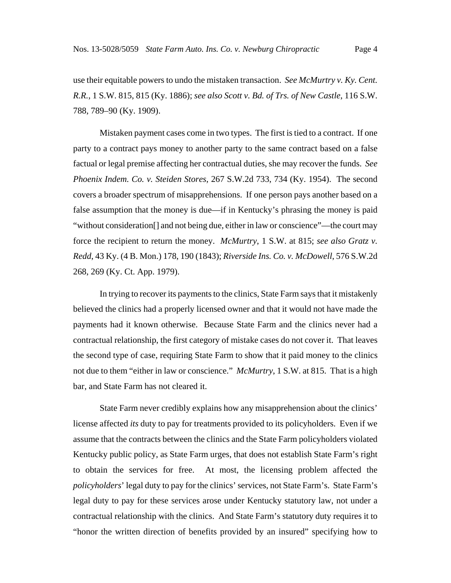use their equitable powers to undo the mistaken transaction. *See McMurtry v. Ky. Cent. R.R.*, 1 S.W. 815, 815 (Ky. 1886); *see also Scott v. Bd. of Trs. of New Castle*, 116 S.W. 788, 789–90 (Ky. 1909).

Mistaken payment cases come in two types. The first is tied to a contract. If one party to a contract pays money to another party to the same contract based on a false factual or legal premise affecting her contractual duties, she may recover the funds. *See Phoenix Indem. Co. v. Steiden Stores*, 267 S.W.2d 733, 734 (Ky. 1954). The second covers a broader spectrum of misapprehensions. If one person pays another based on a false assumption that the money is due—if in Kentucky's phrasing the money is paid "without consideration[] and not being due, either in law or conscience"—the court may force the recipient to return the money. *McMurtry*, 1 S.W. at 815; *see also Gratz v. Redd*, 43 Ky. (4 B. Mon.) 178, 190 (1843); *Riverside Ins. Co. v. McDowell*, 576 S.W.2d 268, 269 (Ky. Ct. App. 1979).

In trying to recover its payments to the clinics, State Farm says that it mistakenly believed the clinics had a properly licensed owner and that it would not have made the payments had it known otherwise. Because State Farm and the clinics never had a contractual relationship, the first category of mistake cases do not cover it. That leaves the second type of case, requiring State Farm to show that it paid money to the clinics not due to them "either in law or conscience." *McMurtry*, 1 S.W. at 815. That is a high bar, and State Farm has not cleared it.

State Farm never credibly explains how any misapprehension about the clinics' license affected *its* duty to pay for treatments provided to its policyholders. Even if we assume that the contracts between the clinics and the State Farm policyholders violated Kentucky public policy, as State Farm urges, that does not establish State Farm's right to obtain the services for free. At most, the licensing problem affected the *policyholders*' legal duty to pay for the clinics' services, not State Farm's. State Farm's legal duty to pay for these services arose under Kentucky statutory law, not under a contractual relationship with the clinics. And State Farm's statutory duty requires it to "honor the written direction of benefits provided by an insured" specifying how to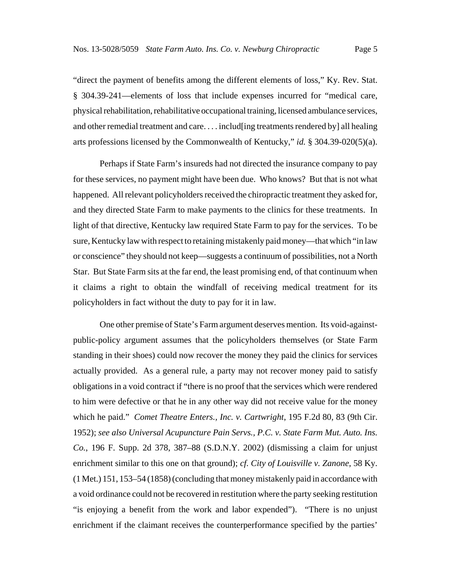"direct the payment of benefits among the different elements of loss," Ky. Rev. Stat. § 304.39-241—elements of loss that include expenses incurred for "medical care, physical rehabilitation, rehabilitative occupational training, licensed ambulance services, and other remedial treatment and care. . . . includ[ing treatments rendered by] all healing arts professions licensed by the Commonwealth of Kentucky," *id.* § 304.39-020(5)(a).

Perhaps if State Farm's insureds had not directed the insurance company to pay for these services, no payment might have been due. Who knows? But that is not what happened. All relevant policyholders received the chiropractic treatment they asked for, and they directed State Farm to make payments to the clinics for these treatments. In light of that directive, Kentucky law required State Farm to pay for the services. To be sure, Kentucky law with respect to retaining mistakenly paid money—that which "in law or conscience" they should not keep—suggests a continuum of possibilities, not a North Star. But State Farm sits at the far end, the least promising end, of that continuum when it claims a right to obtain the windfall of receiving medical treatment for its policyholders in fact without the duty to pay for it in law.

One other premise of State's Farm argument deserves mention. Its void-againstpublic-policy argument assumes that the policyholders themselves (or State Farm standing in their shoes) could now recover the money they paid the clinics for services actually provided. As a general rule, a party may not recover money paid to satisfy obligations in a void contract if "there is no proof that the services which were rendered to him were defective or that he in any other way did not receive value for the money which he paid." *Comet Theatre Enters., Inc. v. Cartwright*, 195 F.2d 80, 83 (9th Cir. 1952); *see also Universal Acupuncture Pain Servs., P.C. v. State Farm Mut. Auto. Ins. Co.*, 196 F. Supp. 2d 378, 387–88 (S.D.N.Y. 2002) (dismissing a claim for unjust enrichment similar to this one on that ground); *cf. City of Louisville v. Zanone*, 58 Ky. (1 Met.) 151, 153–54 (1858) (concluding that money mistakenly paid in accordance with a void ordinance could not be recovered in restitution where the party seeking restitution "is enjoying a benefit from the work and labor expended"). "There is no unjust enrichment if the claimant receives the counterperformance specified by the parties'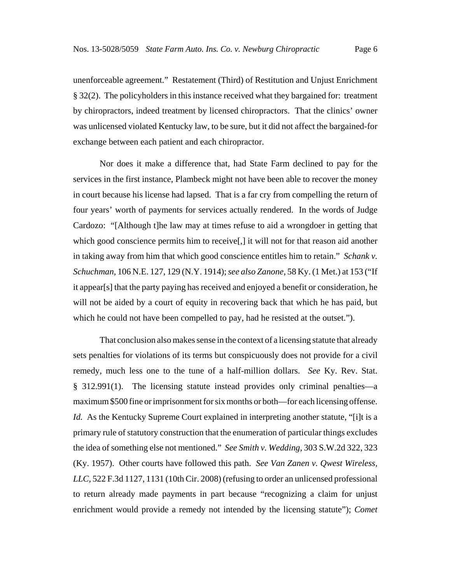unenforceable agreement." Restatement (Third) of Restitution and Unjust Enrichment § 32(2). The policyholders in this instance received what they bargained for: treatment by chiropractors, indeed treatment by licensed chiropractors. That the clinics' owner was unlicensed violated Kentucky law, to be sure, but it did not affect the bargained-for exchange between each patient and each chiropractor.

Nor does it make a difference that, had State Farm declined to pay for the services in the first instance, Plambeck might not have been able to recover the money in court because his license had lapsed. That is a far cry from compelling the return of four years' worth of payments for services actually rendered. In the words of Judge Cardozo: "[Although t]he law may at times refuse to aid a wrongdoer in getting that which good conscience permits him to receive. I it will not for that reason aid another in taking away from him that which good conscience entitles him to retain." *Schank v. Schuchman*, 106 N.E. 127, 129 (N.Y. 1914); *see also Zanone*, 58 Ky. (1 Met.) at 153 ("If it appear[s] that the party paying has received and enjoyed a benefit or consideration, he will not be aided by a court of equity in recovering back that which he has paid, but which he could not have been compelled to pay, had he resisted at the outset.").

That conclusion also makes sense in the context of a licensing statute that already sets penalties for violations of its terms but conspicuously does not provide for a civil remedy, much less one to the tune of a half-million dollars. *See* Ky. Rev. Stat. § 312.991(1). The licensing statute instead provides only criminal penalties—a maximum \$500 fine or imprisonment for six months or both—for each licensing offense. *Id.* As the Kentucky Supreme Court explained in interpreting another statute, "[i]t is a primary rule of statutory construction that the enumeration of particular things excludes the idea of something else not mentioned." *See Smith v. Wedding*, 303 S.W.2d 322, 323 (Ky. 1957). Other courts have followed this path. *See Van Zanen v. Qwest Wireless, LLC*, 522 F.3d 1127, 1131 (10th Cir. 2008) (refusing to order an unlicensed professional to return already made payments in part because "recognizing a claim for unjust enrichment would provide a remedy not intended by the licensing statute"); *Comet*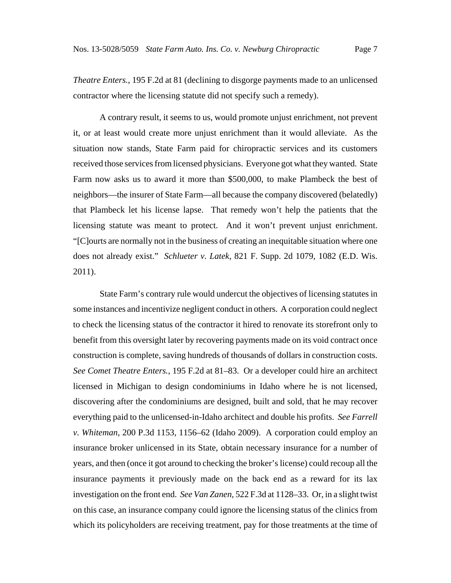*Theatre Enters.*, 195 F.2d at 81 (declining to disgorge payments made to an unlicensed contractor where the licensing statute did not specify such a remedy).

A contrary result, it seems to us, would promote unjust enrichment, not prevent it, or at least would create more unjust enrichment than it would alleviate. As the situation now stands, State Farm paid for chiropractic services and its customers received those services from licensed physicians. Everyone got what they wanted. State Farm now asks us to award it more than \$500,000, to make Plambeck the best of neighbors—the insurer of State Farm—all because the company discovered (belatedly) that Plambeck let his license lapse. That remedy won't help the patients that the licensing statute was meant to protect. And it won't prevent unjust enrichment. "[C]ourts are normally not in the business of creating an inequitable situation where one does not already exist." *Schlueter v. Latek*, 821 F. Supp. 2d 1079, 1082 (E.D. Wis. 2011).

State Farm's contrary rule would undercut the objectives of licensing statutes in some instances and incentivize negligent conduct in others. A corporation could neglect to check the licensing status of the contractor it hired to renovate its storefront only to benefit from this oversight later by recovering payments made on its void contract once construction is complete, saving hundreds of thousands of dollars in construction costs. *See Comet Theatre Enters.*, 195 F.2d at 81–83. Or a developer could hire an architect licensed in Michigan to design condominiums in Idaho where he is not licensed, discovering after the condominiums are designed, built and sold, that he may recover everything paid to the unlicensed-in-Idaho architect and double his profits. *See Farrell v. Whiteman*, 200 P.3d 1153, 1156–62 (Idaho 2009). A corporation could employ an insurance broker unlicensed in its State, obtain necessary insurance for a number of years, and then (once it got around to checking the broker's license) could recoup all the insurance payments it previously made on the back end as a reward for its lax investigation on the front end. *See Van Zanen*, 522 F.3d at 1128–33. Or, in a slight twist on this case, an insurance company could ignore the licensing status of the clinics from which its policyholders are receiving treatment, pay for those treatments at the time of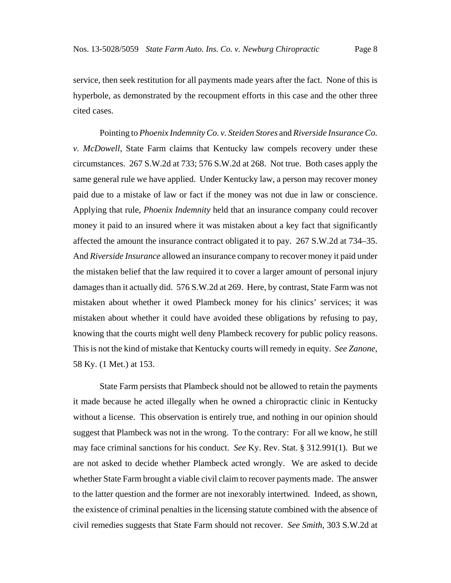service, then seek restitution for all payments made years after the fact. None of this is hyperbole, as demonstrated by the recoupment efforts in this case and the other three cited cases.

Pointing to *Phoenix Indemnity Co. v. Steiden Stores* and *Riverside Insurance Co. v. McDowell*, State Farm claims that Kentucky law compels recovery under these circumstances. 267 S.W.2d at 733; 576 S.W.2d at 268. Not true. Both cases apply the same general rule we have applied. Under Kentucky law, a person may recover money paid due to a mistake of law or fact if the money was not due in law or conscience. Applying that rule, *Phoenix Indemnity* held that an insurance company could recover money it paid to an insured where it was mistaken about a key fact that significantly affected the amount the insurance contract obligated it to pay. 267 S.W.2d at 734–35. And *Riverside Insurance* allowed an insurance company to recover money it paid under the mistaken belief that the law required it to cover a larger amount of personal injury damages than it actually did. 576 S.W.2d at 269. Here, by contrast, State Farm was not mistaken about whether it owed Plambeck money for his clinics' services; it was mistaken about whether it could have avoided these obligations by refusing to pay, knowing that the courts might well deny Plambeck recovery for public policy reasons. This is not the kind of mistake that Kentucky courts will remedy in equity. *See Zanone*, 58 Ky. (1 Met.) at 153.

State Farm persists that Plambeck should not be allowed to retain the payments it made because he acted illegally when he owned a chiropractic clinic in Kentucky without a license. This observation is entirely true, and nothing in our opinion should suggest that Plambeck was not in the wrong. To the contrary: For all we know, he still may face criminal sanctions for his conduct. *See* Ky. Rev. Stat. § 312.991(1). But we are not asked to decide whether Plambeck acted wrongly. We are asked to decide whether State Farm brought a viable civil claim to recover payments made. The answer to the latter question and the former are not inexorably intertwined. Indeed, as shown, the existence of criminal penalties in the licensing statute combined with the absence of civil remedies suggests that State Farm should not recover. *See Smith*, 303 S.W.2d at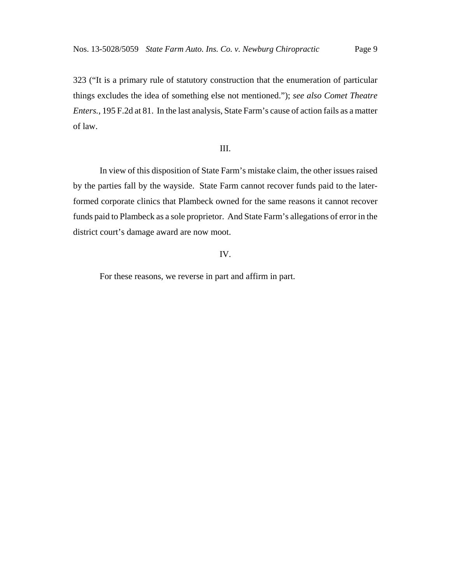323 ("It is a primary rule of statutory construction that the enumeration of particular things excludes the idea of something else not mentioned."); *see also Comet Theatre Enters.*, 195 F.2d at 81. In the last analysis, State Farm's cause of action fails as a matter of law.

#### III.

In view of this disposition of State Farm's mistake claim, the other issues raised by the parties fall by the wayside. State Farm cannot recover funds paid to the laterformed corporate clinics that Plambeck owned for the same reasons it cannot recover funds paid to Plambeck as a sole proprietor. And State Farm's allegations of error in the district court's damage award are now moot.

#### IV.

For these reasons, we reverse in part and affirm in part.